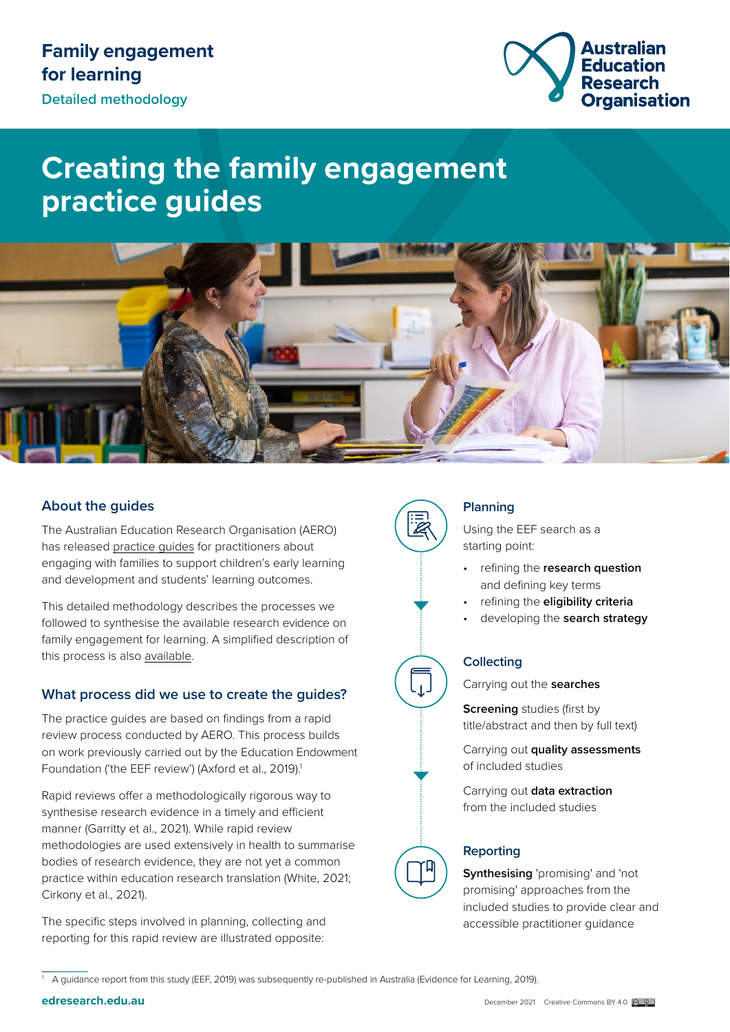

# **Creating the family engagement practice guides**



# **About the guides**

The Australian Education Research Organisation (AERO) has released [practice guides](http://www.edresearch.edu.au/resources/family-engagement-learning-collection) for practitioners about engaging with families to support children's early learning and development and students' learning outcomes.

This detailed methodology describes the processes we followed to synthesise the available research evidence on family engagement for learning. A simplified description of this process is also [available](https://www.edresearch.edu.au/creating-family-engagement-practice-guides-brief-methodology).

# **What process did we use to create the guides?**

The practice guides are based on findings from a rapid review process conducted by AERO. This process builds on work previously carried out by the Education Endowment Foundation ('the EEF review') (Axford et al., 2019).<sup>1</sup>

Rapid reviews offer a methodologically rigorous way to synthesise research evidence in a timely and efficient manner (Garritty et al., 2021). While rapid review methodologies are used extensively in health to summarise bodies of research evidence, they are not yet a common practice within education research translation (White, 2021; Cirkony et al., 2021).

The specific steps involved in planning, collecting and reporting for this rapid review are illustrated opposite:



# **Planning**

Using the EEF search as a starting point:

- refining the **research question** and defining key terms
- refining the **eligibility criteria**
- developing the **search strategy**

# **Collecting**

Carrying out the **searches**

**Screening** studies (first by title/abstract and then by full text)

Carrying out **quality assessments** of included studies

Carrying out **data extraction** from the included studies

# **Reporting**

**Synthesising** 'promising' and 'not promising' approaches from the included studies to provide clear and accessible practitioner guidance

<sup>1</sup> A guidance report from this study (EEF, 2019) was subsequently re-published in Australia (Evidence for Learning, 2019).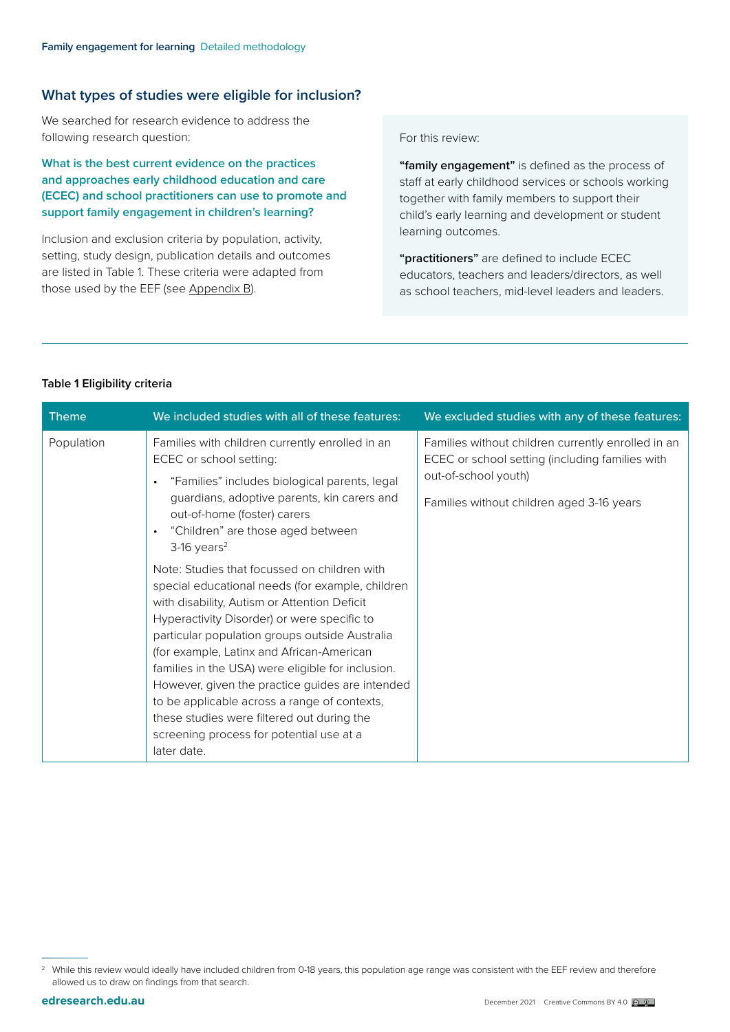#### **What types of studies were eligible for inclusion?**

We searched for research evidence to address the following research question:

**What is the best current evidence on the practices and approaches early childhood education and care (ECEC) and school practitioners can use to promote and support family engagement in children's learning?** 

Inclusion and exclusion criteria by population, activity, setting, study design, publication details and outcomes are listed in Table 1. These criteria were adapted from those used by the EEF ([see Appendix B\)](#page-8-0).

For this review:

**"family engagement"** is defined as the process of staff at early childhood services or schools working together with family members to support their child's early learning and development or student learning outcomes.

**"practitioners"** are defined to include ECEC educators, teachers and leaders/directors, as well as school teachers, mid-level leaders and leaders.

#### **Table 1 Eligibility criteria**

| <b>Theme</b> | We included studies with all of these features:                                                                                                                                                                                                                                                                                                                                                                                                                                                                                                                                                                                                                                                                                                                                                                                                             | We excluded studies with any of these features:                                                                                                                            |
|--------------|-------------------------------------------------------------------------------------------------------------------------------------------------------------------------------------------------------------------------------------------------------------------------------------------------------------------------------------------------------------------------------------------------------------------------------------------------------------------------------------------------------------------------------------------------------------------------------------------------------------------------------------------------------------------------------------------------------------------------------------------------------------------------------------------------------------------------------------------------------------|----------------------------------------------------------------------------------------------------------------------------------------------------------------------------|
| Population   | Families with children currently enrolled in an<br>ECEC or school setting:<br>"Families" includes biological parents, legal<br>guardians, adoptive parents, kin carers and<br>out-of-home (foster) carers<br>"Children" are those aged between<br>$\bullet$<br>$3-16$ years <sup>2</sup><br>Note: Studies that focussed on children with<br>special educational needs (for example, children<br>with disability, Autism or Attention Deficit<br>Hyperactivity Disorder) or were specific to<br>particular population groups outside Australia<br>(for example, Latinx and African-American<br>families in the USA) were eligible for inclusion.<br>However, given the practice guides are intended<br>to be applicable across a range of contexts,<br>these studies were filtered out during the<br>screening process for potential use at a<br>later date. | Families without children currently enrolled in an<br>ECEC or school setting (including families with<br>out-of-school youth)<br>Families without children aged 3-16 years |

<sup>&</sup>lt;sup>2</sup> While this review would ideally have included children from 0-18 years, this population age range was consistent with the EEF review and therefore allowed us to draw on findings from that search.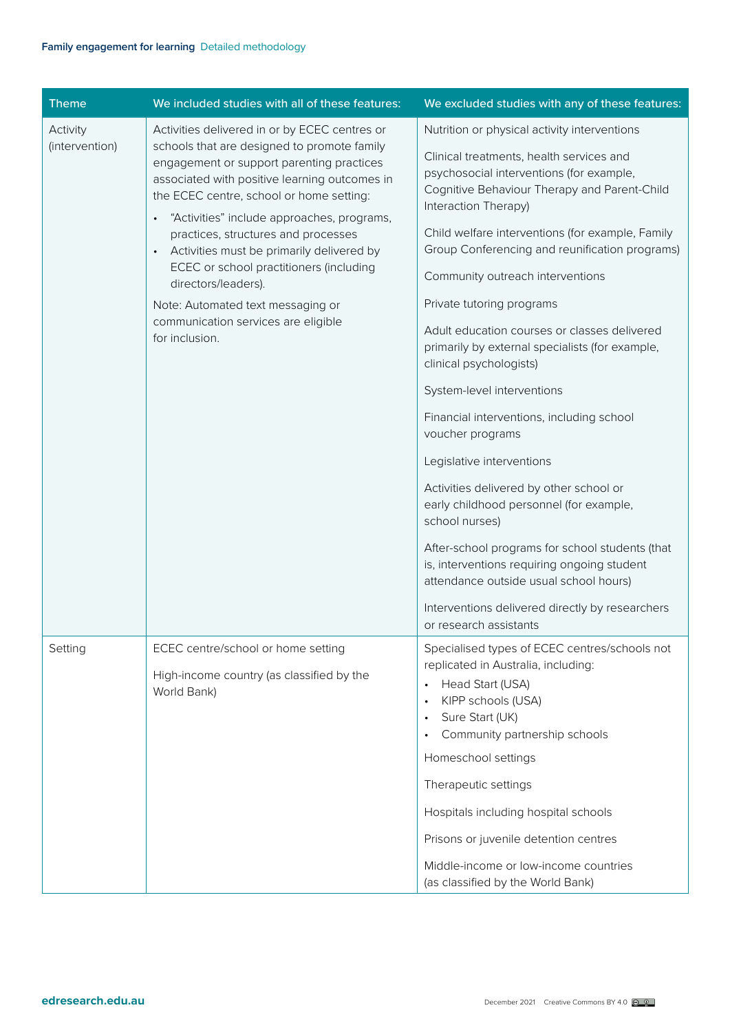| <b>Theme</b>   | We included studies with all of these features:                                                                                                                                       | We excluded studies with any of these features:                                                                                                              |
|----------------|---------------------------------------------------------------------------------------------------------------------------------------------------------------------------------------|--------------------------------------------------------------------------------------------------------------------------------------------------------------|
| Activity       | Activities delivered in or by ECEC centres or                                                                                                                                         | Nutrition or physical activity interventions                                                                                                                 |
| (intervention) | schools that are designed to promote family<br>engagement or support parenting practices<br>associated with positive learning outcomes in<br>the ECEC centre, school or home setting: | Clinical treatments, health services and<br>psychosocial interventions (for example,<br>Cognitive Behaviour Therapy and Parent-Child<br>Interaction Therapy) |
|                | "Activities" include approaches, programs,<br>practices, structures and processes<br>Activities must be primarily delivered by<br>ECEC or school practitioners (including             | Child welfare interventions (for example, Family<br>Group Conferencing and reunification programs)                                                           |
|                | directors/leaders).                                                                                                                                                                   | Community outreach interventions                                                                                                                             |
|                | Note: Automated text messaging or                                                                                                                                                     | Private tutoring programs                                                                                                                                    |
|                | communication services are eligible<br>for inclusion.                                                                                                                                 | Adult education courses or classes delivered<br>primarily by external specialists (for example,<br>clinical psychologists)                                   |
|                |                                                                                                                                                                                       | System-level interventions                                                                                                                                   |
|                |                                                                                                                                                                                       | Financial interventions, including school<br>voucher programs                                                                                                |
|                |                                                                                                                                                                                       | Legislative interventions                                                                                                                                    |
|                |                                                                                                                                                                                       | Activities delivered by other school or<br>early childhood personnel (for example,<br>school nurses)                                                         |
|                |                                                                                                                                                                                       | After-school programs for school students (that<br>is, interventions requiring ongoing student<br>attendance outside usual school hours)                     |
|                |                                                                                                                                                                                       | Interventions delivered directly by researchers<br>or research assistants                                                                                    |
| Setting        | ECEC centre/school or home setting<br>High-income country (as classified by the                                                                                                       | Specialised types of ECEC centres/schools not<br>replicated in Australia, including:                                                                         |
|                | World Bank)                                                                                                                                                                           | Head Start (USA)<br>$\bullet$<br>KIPP schools (USA)<br>$\bullet$<br>Sure Start (UK)<br>$\bullet$                                                             |
|                |                                                                                                                                                                                       | Community partnership schools                                                                                                                                |
|                |                                                                                                                                                                                       | Homeschool settings                                                                                                                                          |
|                |                                                                                                                                                                                       | Therapeutic settings                                                                                                                                         |
|                |                                                                                                                                                                                       | Hospitals including hospital schools                                                                                                                         |
|                |                                                                                                                                                                                       | Prisons or juvenile detention centres                                                                                                                        |
|                |                                                                                                                                                                                       | Middle-income or low-income countries<br>(as classified by the World Bank)                                                                                   |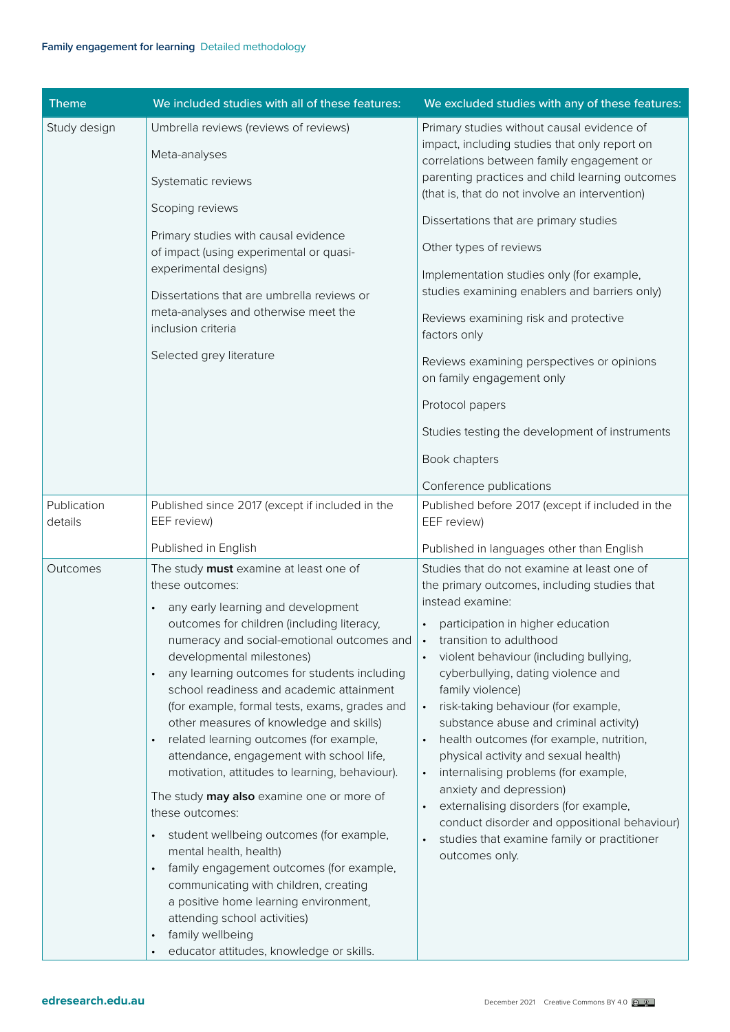| <b>Theme</b>           | We included studies with all of these features:                                                                                                                                                                                                                                                                                                                                                                                                                                                                                                                                                                                                                                                                                                                                                                                                                                                                                                         | We excluded studies with any of these features:                                                                                                                                                                                                                                                                                                                                                                                                                                                                                                                                                                                                                                                                                                                     |
|------------------------|---------------------------------------------------------------------------------------------------------------------------------------------------------------------------------------------------------------------------------------------------------------------------------------------------------------------------------------------------------------------------------------------------------------------------------------------------------------------------------------------------------------------------------------------------------------------------------------------------------------------------------------------------------------------------------------------------------------------------------------------------------------------------------------------------------------------------------------------------------------------------------------------------------------------------------------------------------|---------------------------------------------------------------------------------------------------------------------------------------------------------------------------------------------------------------------------------------------------------------------------------------------------------------------------------------------------------------------------------------------------------------------------------------------------------------------------------------------------------------------------------------------------------------------------------------------------------------------------------------------------------------------------------------------------------------------------------------------------------------------|
| Study design           | Umbrella reviews (reviews of reviews)<br>Meta-analyses<br>Systematic reviews<br>Scoping reviews                                                                                                                                                                                                                                                                                                                                                                                                                                                                                                                                                                                                                                                                                                                                                                                                                                                         | Primary studies without causal evidence of<br>impact, including studies that only report on<br>correlations between family engagement or<br>parenting practices and child learning outcomes<br>(that is, that do not involve an intervention)                                                                                                                                                                                                                                                                                                                                                                                                                                                                                                                       |
|                        | Primary studies with causal evidence<br>of impact (using experimental or quasi-<br>experimental designs)<br>Dissertations that are umbrella reviews or<br>meta-analyses and otherwise meet the<br>inclusion criteria<br>Selected grey literature                                                                                                                                                                                                                                                                                                                                                                                                                                                                                                                                                                                                                                                                                                        | Dissertations that are primary studies<br>Other types of reviews<br>Implementation studies only (for example,<br>studies examining enablers and barriers only)<br>Reviews examining risk and protective<br>factors only<br>Reviews examining perspectives or opinions<br>on family engagement only<br>Protocol papers<br>Studies testing the development of instruments<br>Book chapters<br>Conference publications                                                                                                                                                                                                                                                                                                                                                 |
| Publication<br>details | Published since 2017 (except if included in the<br>EEF review)<br>Published in English                                                                                                                                                                                                                                                                                                                                                                                                                                                                                                                                                                                                                                                                                                                                                                                                                                                                  | Published before 2017 (except if included in the<br>EEF review)<br>Published in languages other than English                                                                                                                                                                                                                                                                                                                                                                                                                                                                                                                                                                                                                                                        |
| Outcomes               | The study must examine at least one of<br>these outcomes:<br>any early learning and development<br>outcomes for children (including literacy,<br>numeracy and social-emotional outcomes and<br>developmental milestones)<br>any learning outcomes for students including<br>school readiness and academic attainment<br>(for example, formal tests, exams, grades and<br>other measures of knowledge and skills)<br>related learning outcomes (for example,<br>attendance, engagement with school life,<br>motivation, attitudes to learning, behaviour).<br>The study may also examine one or more of<br>these outcomes:<br>student wellbeing outcomes (for example,<br>$\bullet$<br>mental health, health)<br>family engagement outcomes (for example,<br>communicating with children, creating<br>a positive home learning environment,<br>attending school activities)<br>family wellbeing<br>$\bullet$<br>educator attitudes, knowledge or skills. | Studies that do not examine at least one of<br>the primary outcomes, including studies that<br>instead examine:<br>participation in higher education<br>$\bullet$<br>transition to adulthood<br>violent behaviour (including bullying,<br>cyberbullying, dating violence and<br>family violence)<br>risk-taking behaviour (for example,<br>$\bullet$<br>substance abuse and criminal activity)<br>health outcomes (for example, nutrition,<br>$\bullet$<br>physical activity and sexual health)<br>internalising problems (for example,<br>$\bullet$<br>anxiety and depression)<br>externalising disorders (for example,<br>$\bullet$<br>conduct disorder and oppositional behaviour)<br>studies that examine family or practitioner<br>$\bullet$<br>outcomes only. |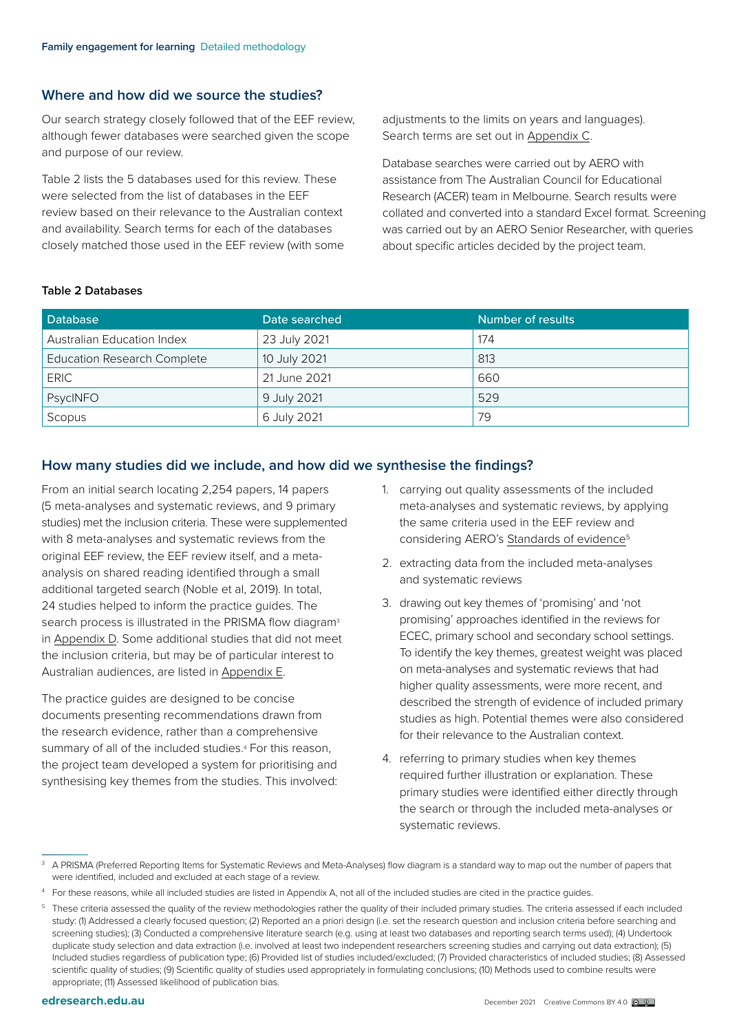# **Where and how did we source the studies?**

Our search strategy closely followed that of the EEF review, although fewer databases were searched given the scope and purpose of our review.

Table 2 lists the 5 databases used for this review. These were selected from the list of databases in the EEF review based on their relevance to the Australian context and availability. Search terms for each of the databases closely matched those used in the EEF review (with some adjustments to the limits on years and languages). Search terms are set out in [Appendix C](#page-10-0).

Database searches were carried out by AERO with assistance from The Australian Council for Educational Research (ACER) team in Melbourne. Search results were collated and converted into a standard Excel format. Screening was carried out by an AERO Senior Researcher, with queries about specific articles decided by the project team.

#### **Table 2 Databases**

| Database                           | Date searched | Number of results |
|------------------------------------|---------------|-------------------|
| Australian Education Index         | 23 July 2021  | 174               |
| <b>Education Research Complete</b> | 10 July 2021  | 813               |
| <b>ERIC</b>                        | 21 June 2021  | 660               |
| PsycINFO                           | 9 July 2021   | 529               |
| Scopus                             | 6 July 2021   | 79                |

# **How many studies did we include, and how did we synthesise the findings?**

From an initial search locating 2,254 papers, 14 papers (5 meta-analyses and systematic reviews, and 9 primary studies) met the inclusion criteria. These were supplemented with 8 meta-analyses and systematic reviews from the original EEF review, the EEF review itself, and a metaanalysis on shared reading identified through a small additional targeted search (Noble et al, 2019). In total, 24 studies helped to inform the practice guides. The search process is illustrated in the PRISMA flow diagram<sup>3</sup> in [Appendix D.](#page-13-0) Some additional studies that did not meet the inclusion criteria, but may be of particular interest to Australian audiences, are listed in [Appendix E.](#page-14-0)

The practice guides are designed to be concise documents presenting recommendations drawn from the research evidence, rather than a comprehensive summary of all of the included studies.<sup>4</sup> For this reason, the project team developed a system for prioritising and synthesising key themes from the studies. This involved:

- 1. carrying out quality assessments of the included meta-analyses and systematic reviews, by applying the same criteria used in the EEF review and considering AERO's Standards of evidence<sup>5</sup>
- 2. extracting data from the included meta-analyses and systematic reviews
- 3. drawing out key themes of 'promising' and 'not promising' approaches identified in the reviews for ECEC, primary school and secondary school settings. To identify the key themes, greatest weight was placed on meta-analyses and systematic reviews that had higher quality assessments, were more recent, and described the strength of evidence of included primary studies as high. Potential themes were also considered for their relevance to the Australian context.
- 4. referring to primary studies when key themes required further illustration or explanation. These primary studies were identified either directly through the search or through the included meta-analyses or systematic reviews.

<sup>3</sup> A PRISMA (Preferred Reporting Items for Systematic Reviews and Meta-Analyses) flow diagram is a standard way to map out the number of papers that were identified, included and excluded at each stage of a review.

<sup>4</sup> For these reasons, while all included studies are listed in Appendix A, not all of the included studies are cited in the practice guides.

<sup>&</sup>lt;sup>5</sup> These criteria assessed the quality of the review methodologies rather the quality of their included primary studies. The criteria assessed if each included study: (1) Addressed a clearly focused question; (2) Reported an a priori design (i.e. set the research question and inclusion criteria before searching and screening studies); (3) Conducted a comprehensive literature search (e.g. using at least two databases and reporting search terms used); (4) Undertook duplicate study selection and data extraction (i.e. involved at least two independent researchers screening studies and carrying out data extraction); (5) Included studies regardless of publication type; (6) Provided list of studies included/excluded; (7) Provided characteristics of included studies; (8) Assessed scientific quality of studies; (9) Scientific quality of studies used appropriately in formulating conclusions; (10) Methods used to combine results were appropriate; (11) Assessed likelihood of publication bias.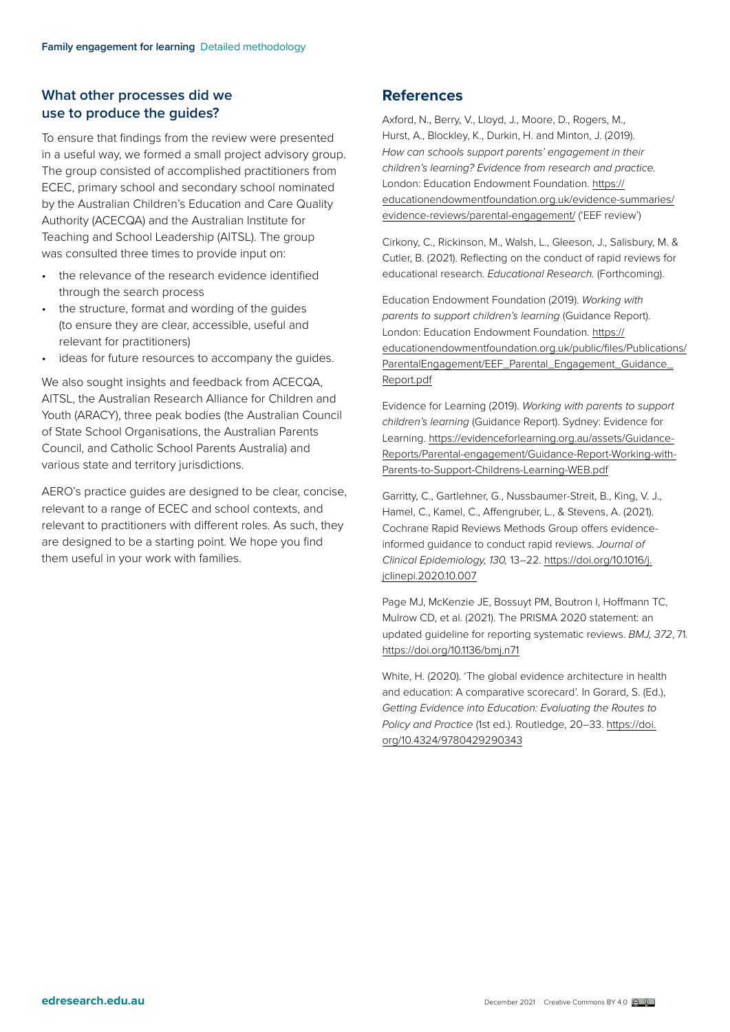# **What other processes did we use to produce the guides?**

To ensure that findings from the review were presented in a useful way, we formed a small project advisory group. The group consisted of accomplished practitioners from ECEC, primary school and secondary school nominated by the Australian Children's Education and Care Quality Authority (ACECQA) and the Australian Institute for Teaching and School Leadership (AITSL). The group was consulted three times to provide input on:

- the relevance of the research evidence identified through the search process
- the structure, format and wording of the guides (to ensure they are clear, accessible, useful and relevant for practitioners)
- ideas for future resources to accompany the guides.

We also sought insights and feedback from ACECQA, AITSL, the Australian Research Alliance for Children and Youth (ARACY), three peak bodies (the Australian Council of State School Organisations, the Australian Parents Council, and Catholic School Parents Australia) and various state and territory jurisdictions.

AERO's practice guides are designed to be clear, concise, relevant to a range of ECEC and school contexts, and relevant to practitioners with different roles. As such, they are designed to be a starting point. We hope you find them useful in your work with families.

# **References**

Axford, N., Berry, V., Lloyd, J., Moore, D., Rogers, M., Hurst, A., Blockley, K., Durkin, H. and Minton, J. (2019). *How can schools support parents' engagement in their children's learning? Evidence from research and practice.*  London: Education Endowment Foundation. [https://](https://educationendowmentfoundation.org.uk/evidence-summaries/evidence-reviews/parental-engagement/) [educationendowmentfoundation.org.uk/evidence-summaries/](https://educationendowmentfoundation.org.uk/evidence-summaries/evidence-reviews/parental-engagement/) [evidence-reviews/parental-engagement/](https://educationendowmentfoundation.org.uk/evidence-summaries/evidence-reviews/parental-engagement/) ('EEF review')

Cirkony, C., Rickinson, M., Walsh, L., Gleeson, J., Salisbury, M. & Cutler, B. (2021). Reflecting on the conduct of rapid reviews for educational research. *Educational Research.* (Forthcoming).

Education Endowment Foundation (2019). *Working with parents to support children's learning* (Guidance Report). London: Education Endowment Foundation. [https://](https://educationendowmentfoundation.org.uk/public/files/Publications/ParentalEngagement/EEF_Parental_Engagement_Guidance_Report.pdf) [educationendowmentfoundation.org.uk/public/files/Publications/](https://educationendowmentfoundation.org.uk/public/files/Publications/ParentalEngagement/EEF_Parental_Engagement_Guidance_Report.pdf) [ParentalEngagement/EEF\\_Parental\\_Engagement\\_Guidance\\_](https://educationendowmentfoundation.org.uk/public/files/Publications/ParentalEngagement/EEF_Parental_Engagement_Guidance_Report.pdf) [Report.pdf](https://educationendowmentfoundation.org.uk/public/files/Publications/ParentalEngagement/EEF_Parental_Engagement_Guidance_Report.pdf)

Evidence for Learning (2019). *Working with parents to support children's learning* (Guidance Report). Sydney: Evidence for Learning. [https://evidenceforlearning.org.au/assets/Guidance-](https://evidenceforlearning.org.au/assets/Guidance-Reports/Parental-engagement/Guidance-Report-Working-with-Parents-to-Support-Childrens-Learning-WEB.pdf)[Reports/Parental-engagement/Guidance-Report-Working-with-](https://evidenceforlearning.org.au/assets/Guidance-Reports/Parental-engagement/Guidance-Report-Working-with-Parents-to-Support-Childrens-Learning-WEB.pdf)[Parents-to-Support-Childrens-Learning-WEB.pdf](https://evidenceforlearning.org.au/assets/Guidance-Reports/Parental-engagement/Guidance-Report-Working-with-Parents-to-Support-Childrens-Learning-WEB.pdf)

Garritty, C., Gartlehner, G., Nussbaumer-Streit, B., King, V. J., Hamel, C., Kamel, C., Affengruber, L., & Stevens, A. (2021). Cochrane Rapid Reviews Methods Group offers evidenceinformed guidance to conduct rapid reviews. *Journal of Clinical Epidemiology, 130,* 13–22. [https://doi.org/10.1016/j.](https://doi.org/10.1016/j.jclinepi.2020.10.007) [jclinepi.2020.10.007](https://doi.org/10.1016/j.jclinepi.2020.10.007)

Page MJ, McKenzie JE, Bossuyt PM, Boutron I, Hoffmann TC, Mulrow CD, et al. (2021). The PRISMA 2020 statement: an updated guideline for reporting systematic reviews. *BMJ, 372*, 71. <https://doi.org/10.1136/bmj.n71>

White, H. (2020). 'The global evidence architecture in health and education: A comparative scorecard'. In Gorard, S. (Ed.), *Getting Evidence into Education: Evaluating the Routes to Policy and Practice* (1st ed.). Routledge, 20–33. [https://doi.](https://doi.org/10.4324/9780429290343) [org/10.4324/9780429290343](https://doi.org/10.4324/9780429290343)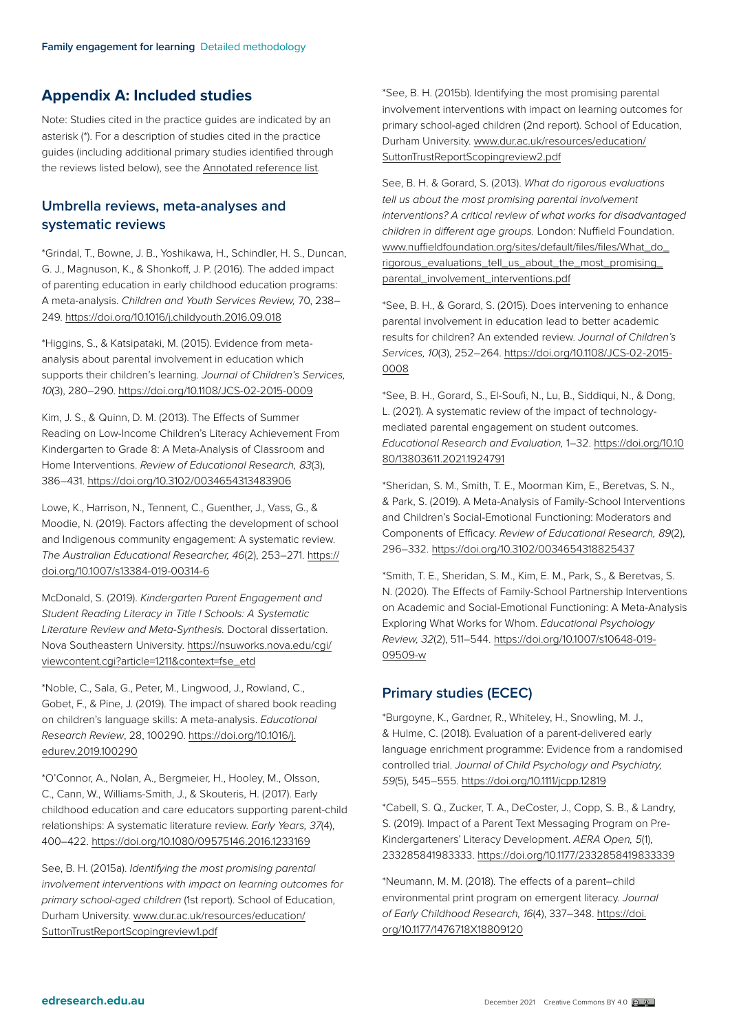# **Appendix A: Included studies**

Note: Studies cited in the practice guides are indicated by an asterisk (\*). For a description of studies cited in the practice guides (including additional primary studies identified through the reviews listed below), see the Annotated reference list.

# **Umbrella reviews, meta-analyses and systematic reviews**

\*Grindal, T., Bowne, J. B., Yoshikawa, H., Schindler, H. S., Duncan, G. J., Magnuson, K., & Shonkoff, J. P. (2016). The added impact of parenting education in early childhood education programs: A meta-analysis. *Children and Youth Services Review,* 70, 238– 249.<https://doi.org/10.1016/j.childyouth.2016.09.018>

\*Higgins, S., & Katsipataki, M. (2015). Evidence from metaanalysis about parental involvement in education which supports their children's learning. *Journal of Children's Services, 10*(3), 280–290. <https://doi.org/10.1108/JCS-02-2015-0009>

Kim, J. S., & Quinn, D. M. (2013). The Effects of Summer Reading on Low-Income Children's Literacy Achievement From Kindergarten to Grade 8: A Meta-Analysis of Classroom and Home Interventions. *Review of Educational Research, 83*(3), 386–431.<https://doi.org/10.3102/0034654313483906>

Lowe, K., Harrison, N., Tennent, C., Guenther, J., Vass, G., & Moodie, N. (2019). Factors affecting the development of school and Indigenous community engagement: A systematic review. *The Australian Educational Researcher, 46*(2), 253–271. [https://](https://doi.org/10.1007/s13384-019-00314-6) [doi.org/10.1007/s13384-019-00314-6](https://doi.org/10.1007/s13384-019-00314-6)

McDonald, S. (2019). *Kindergarten Parent Engagement and Student Reading Literacy in Title I Schools: A Systematic Literature Review and Meta-Synthesis.* Doctoral dissertation. Nova Southeastern University. [https://nsuworks.nova.edu/cgi/](https://nsuworks.nova.edu/cgi/viewcontent.cgi?article=1211&context=fse_etd) [viewcontent.cgi?article=1211&context=fse\\_etd](https://nsuworks.nova.edu/cgi/viewcontent.cgi?article=1211&context=fse_etd)

\*Noble, C., Sala, G., Peter, M., Lingwood, J., Rowland, C., Gobet, F., & Pine, J. (2019). The impact of shared book reading on children's language skills: A meta-analysis. *Educational Research Review*, 28, 100290. [https://doi.org/10.1016/j.](https://doi.org/10.1016/j.edurev.2019.100290) [edurev.2019.100290](https://doi.org/10.1016/j.edurev.2019.100290)

\*O'Connor, A., Nolan, A., Bergmeier, H., Hooley, M., Olsson, C., Cann, W., Williams-Smith, J., & Skouteris, H. (2017). Early childhood education and care educators supporting parent-child relationships: A systematic literature review. *Early Years, 37*(4), 400–422. <https://doi.org/10.1080/09575146.2016.1233169>

See, B. H. (2015a). *Identifying the most promising parental involvement interventions with impact on learning outcomes for primary school-aged children* (1st report). School of Education, Durham University. [www.dur.ac.uk/resources/education/](http://www.dur.ac.uk/resources/education/SuttonTrustReportScopingreview1.pdf) [SuttonTrustReportScopingreview1.pdf](http://www.dur.ac.uk/resources/education/SuttonTrustReportScopingreview1.pdf)

\*See, B. H. (2015b). Identifying the most promising parental involvement interventions with impact on learning outcomes for primary school-aged children (2nd report). School of Education, Durham University. [www.dur.ac.uk/resources/education/](http://www.dur.ac.uk/resources/education/SuttonTrustReportScopingreview2.pdf) [SuttonTrustReportScopingreview2.pdf](http://www.dur.ac.uk/resources/education/SuttonTrustReportScopingreview2.pdf)

See, B. H. & Gorard, S. (2013). *What do rigorous evaluations tell us about the most promising parental involvement interventions? A critical review of what works for disadvantaged children in different age groups.* London: Nuffield Foundation. [www.nuffieldfoundation.org/sites/default/files/files/What\\_do\\_](http://www.nuffieldfoundation.org/sites/default/files/files/What_do_rigorous_evaluations_tell_us_about_the_most_promising_parental_involvement_interventions.pdf) [rigorous\\_evaluations\\_tell\\_us\\_about\\_the\\_most\\_promising\\_](http://www.nuffieldfoundation.org/sites/default/files/files/What_do_rigorous_evaluations_tell_us_about_the_most_promising_parental_involvement_interventions.pdf) [parental\\_involvement\\_interventions.pdf](http://www.nuffieldfoundation.org/sites/default/files/files/What_do_rigorous_evaluations_tell_us_about_the_most_promising_parental_involvement_interventions.pdf)

\*See, B. H., & Gorard, S. (2015). Does intervening to enhance parental involvement in education lead to better academic results for children? An extended review. *Journal of Children's Services, 10*(3), 252–264. [https://doi.org/10.1108/JCS-02-2015-](https://doi.org/10.1108/JCS-02-2015-0008 ) [0008](https://doi.org/10.1108/JCS-02-2015-0008 )

\*See, B. H., Gorard, S., El-Soufi, N., Lu, B., Siddiqui, N., & Dong, L. (2021). A systematic review of the impact of technologymediated parental engagement on student outcomes. *Educational Research and Evaluation,* 1–32. [https://doi.org/10.10](https://doi.org/10.1080/13803611.2021.1924791) [80/13803611.2021.1924791](https://doi.org/10.1080/13803611.2021.1924791)

\*Sheridan, S. M., Smith, T. E., Moorman Kim, E., Beretvas, S. N., & Park, S. (2019). A Meta-Analysis of Family-School Interventions and Children's Social-Emotional Functioning: Moderators and Components of Efficacy. *Review of Educational Research, 89*(2), 296–332.<https://doi.org/10.3102/0034654318825437>

\*Smith, T. E., Sheridan, S. M., Kim, E. M., Park, S., & Beretvas, S. N. (2020). The Effects of Family-School Partnership Interventions on Academic and Social-Emotional Functioning: A Meta-Analysis Exploring What Works for Whom. *Educational Psychology Review, 32*(2), 511–544. [https://doi.org/10.1007/s10648-019-](https://doi.org/10.1007/s10648-019-09509-w) [09509-w](https://doi.org/10.1007/s10648-019-09509-w)

# **Primary studies (ECEC)**

\*Burgoyne, K., Gardner, R., Whiteley, H., Snowling, M. J., & Hulme, C. (2018). Evaluation of a parent-delivered early language enrichment programme: Evidence from a randomised controlled trial. *Journal of Child Psychology and Psychiatry, 59*(5), 545–555. <https://doi.org/10.1111/jcpp.12819>

\*Cabell, S. Q., Zucker, T. A., DeCoster, J., Copp, S. B., & Landry, S. (2019). Impact of a Parent Text Messaging Program on Pre-Kindergarteners' Literacy Development. *AERA Open, 5*(1), 233285841983333. <https://doi.org/10.1177/2332858419833339>

\*Neumann, M. M. (2018). The effects of a parent–child environmental print program on emergent literacy. *Journal of Early Childhood Research, 16*(4), 337–348. [https://doi.](https://doi.org/10.1177/1476718X18809120) [org/10.1177/1476718X18809120](https://doi.org/10.1177/1476718X18809120)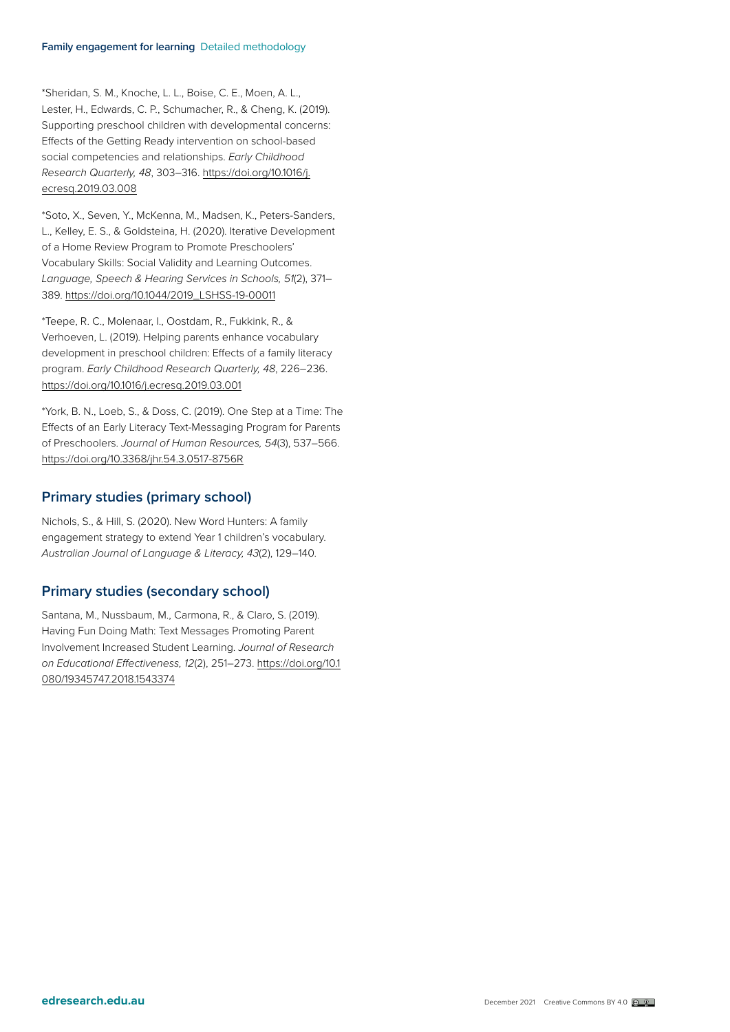\*Sheridan, S. M., Knoche, L. L., Boise, C. E., Moen, A. L., Lester, H., Edwards, C. P., Schumacher, R., & Cheng, K. (2019). Supporting preschool children with developmental concerns: Effects of the Getting Ready intervention on school-based social competencies and relationships. *Early Childhood Research Quarterly, 48*, 303–316. [https://doi.org/10.1016/j.](https://doi.org/10.1016/j.ecresq.2019.03.008) [ecresq.2019.03.008](https://doi.org/10.1016/j.ecresq.2019.03.008)

\*Soto, X., Seven, Y., McKenna, M., Madsen, K., Peters-Sanders, L., Kelley, E. S., & Goldsteina, H. (2020). Iterative Development of a Home Review Program to Promote Preschoolers' Vocabulary Skills: Social Validity and Learning Outcomes. *Language, Speech & Hearing Services in Schools, 51*(2), 371– 389. [https://doi.org/10.1044/2019\\_LSHSS-19-00011](https://doi.org/10.1044/2019_LSHSS-19-00011)

\*Teepe, R. C., Molenaar, I., Oostdam, R., Fukkink, R., & Verhoeven, L. (2019). Helping parents enhance vocabulary development in preschool children: Effects of a family literacy program. *Early Childhood Research Quarterly, 48*, 226–236. <https://doi.org/10.1016/j.ecresq.2019.03.001>

\*York, B. N., Loeb, S., & Doss, C. (2019). One Step at a Time: The Effects of an Early Literacy Text-Messaging Program for Parents of Preschoolers. *Journal of Human Resources, 54*(3), 537–566. <https://doi.org/10.3368/jhr.54.3.0517-8756R>

#### **Primary studies (primary school)**

Nichols, S., & Hill, S. (2020). New Word Hunters: A family engagement strategy to extend Year 1 children's vocabulary. *Australian Journal of Language & Literacy, 43*(2), 129–140.

#### **Primary studies (secondary school)**

Santana, M., Nussbaum, M., Carmona, R., & Claro, S. (2019). Having Fun Doing Math: Text Messages Promoting Parent Involvement Increased Student Learning. *Journal of Research on Educational Effectiveness, 12*(2), 251–273. [https://doi.org/10.1](https://doi.org/10.1080/19345747.2018.1543374 ) [080/19345747.2018.1543374](https://doi.org/10.1080/19345747.2018.1543374 )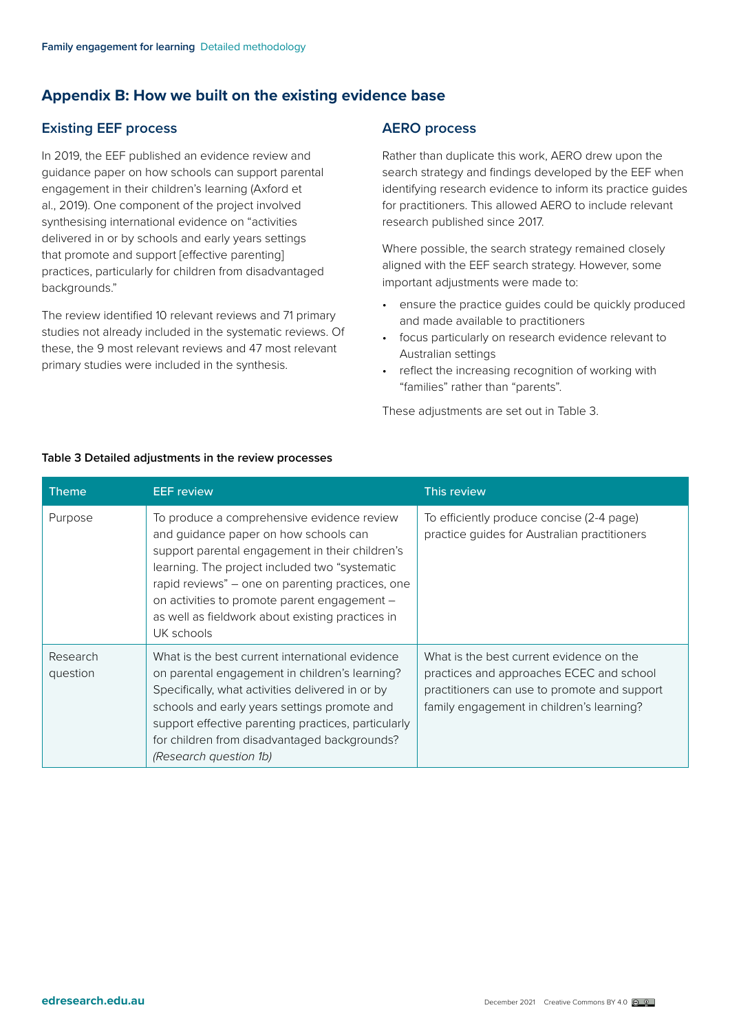# <span id="page-8-0"></span>**Appendix B: How we built on the existing evidence base**

# **Existing EEF process**

In 2019, the EEF published an evidence review and guidance paper on how schools can support parental engagement in their children's learning (Axford et al., 2019). One component of the project involved synthesising international evidence on "activities delivered in or by schools and early years settings that promote and support [effective parenting] practices, particularly for children from disadvantaged backgrounds."

The review identified 10 relevant reviews and 71 primary studies not already included in the systematic reviews. Of these, the 9 most relevant reviews and 47 most relevant primary studies were included in the synthesis.

#### **AERO process**

Rather than duplicate this work, AERO drew upon the search strategy and findings developed by the EEF when identifying research evidence to inform its practice guides for practitioners. This allowed AERO to include relevant research published since 2017.

Where possible, the search strategy remained closely aligned with the EEF search strategy. However, some important adjustments were made to:

- ensure the practice guides could be quickly produced and made available to practitioners
- focus particularly on research evidence relevant to Australian settings
- reflect the increasing recognition of working with "families" rather than "parents".

These adjustments are set out in Table 3.

| <b>Theme</b>         | <b>EEF</b> review                                                                                                                                                                                                                                                                                                                                               | This review                                                                                                                                                                       |
|----------------------|-----------------------------------------------------------------------------------------------------------------------------------------------------------------------------------------------------------------------------------------------------------------------------------------------------------------------------------------------------------------|-----------------------------------------------------------------------------------------------------------------------------------------------------------------------------------|
| Purpose              | To produce a comprehensive evidence review<br>and guidance paper on how schools can<br>support parental engagement in their children's<br>learning. The project included two "systematic"<br>rapid reviews" - one on parenting practices, one<br>on activities to promote parent engagement -<br>as well as fieldwork about existing practices in<br>UK schools | To efficiently produce concise (2-4 page)<br>practice guides for Australian practitioners                                                                                         |
| Research<br>question | What is the best current international evidence<br>on parental engagement in children's learning?<br>Specifically, what activities delivered in or by<br>schools and early years settings promote and<br>support effective parenting practices, particularly<br>for children from disadvantaged backgrounds?<br>(Research question 1b)                          | What is the best current evidence on the<br>practices and approaches ECEC and school<br>practitioners can use to promote and support<br>family engagement in children's learning? |

#### **Table 3 Detailed adjustments in the review processes**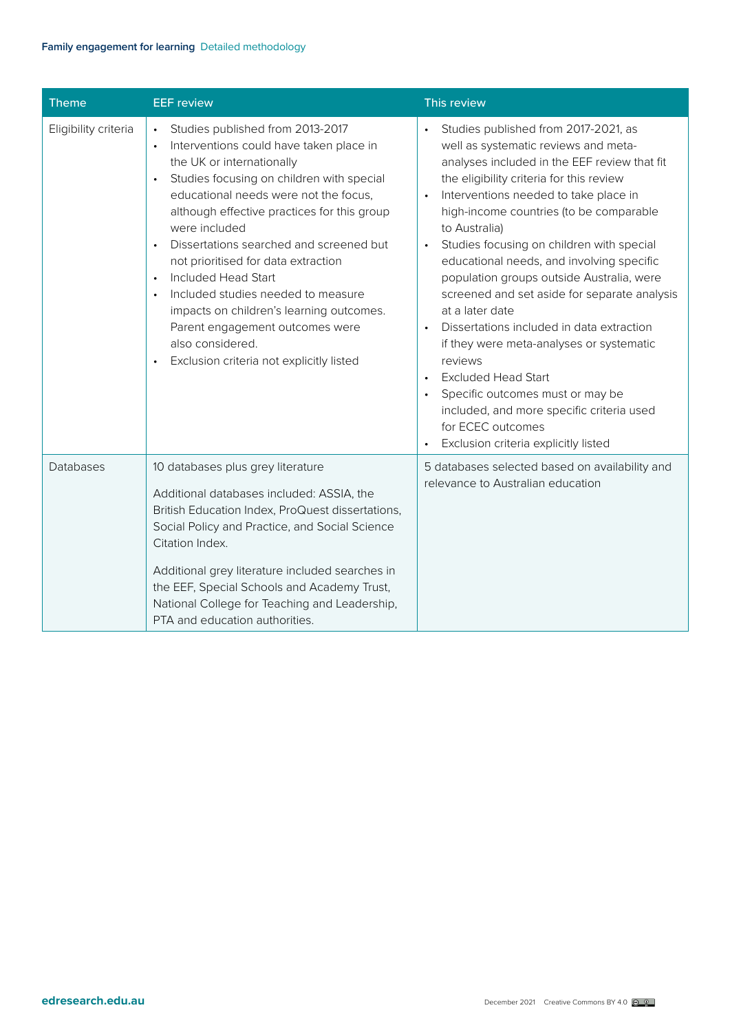| <b>Theme</b>         | <b>EEF</b> review                                                                                                                                                                                                                                                                                                                                                                                                                                                                                                                                                                      | This review                                                                                                                                                                                                                                                                                                                                                                                                                                                                                                                                                                                                                                                                                                                                                                                                                                           |
|----------------------|----------------------------------------------------------------------------------------------------------------------------------------------------------------------------------------------------------------------------------------------------------------------------------------------------------------------------------------------------------------------------------------------------------------------------------------------------------------------------------------------------------------------------------------------------------------------------------------|-------------------------------------------------------------------------------------------------------------------------------------------------------------------------------------------------------------------------------------------------------------------------------------------------------------------------------------------------------------------------------------------------------------------------------------------------------------------------------------------------------------------------------------------------------------------------------------------------------------------------------------------------------------------------------------------------------------------------------------------------------------------------------------------------------------------------------------------------------|
| Eligibility criteria | Studies published from 2013-2017<br>$\bullet$<br>Interventions could have taken place in<br>the UK or internationally<br>Studies focusing on children with special<br>educational needs were not the focus,<br>although effective practices for this group<br>were included<br>Dissertations searched and screened but<br>not prioritised for data extraction<br>Included Head Start<br>$\bullet$<br>Included studies needed to measure<br>impacts on children's learning outcomes.<br>Parent engagement outcomes were<br>also considered.<br>Exclusion criteria not explicitly listed | Studies published from 2017-2021, as<br>$\bullet$<br>well as systematic reviews and meta-<br>analyses included in the EEF review that fit<br>the eligibility criteria for this review<br>Interventions needed to take place in<br>$\bullet$<br>high-income countries (to be comparable<br>to Australia)<br>Studies focusing on children with special<br>$\bullet$<br>educational needs, and involving specific<br>population groups outside Australia, were<br>screened and set aside for separate analysis<br>at a later date<br>Dissertations included in data extraction<br>$\bullet$<br>if they were meta-analyses or systematic<br>reviews<br><b>Excluded Head Start</b><br>$\bullet$<br>Specific outcomes must or may be<br>$\bullet$<br>included, and more specific criteria used<br>for ECEC outcomes<br>Exclusion criteria explicitly listed |
| <b>Databases</b>     | 10 databases plus grey literature<br>Additional databases included: ASSIA, the<br>British Education Index, ProQuest dissertations,<br>Social Policy and Practice, and Social Science<br>Citation Index.<br>Additional grey literature included searches in<br>the EEF, Special Schools and Academy Trust,<br>National College for Teaching and Leadership,<br>PTA and education authorities.                                                                                                                                                                                           | 5 databases selected based on availability and<br>relevance to Australian education                                                                                                                                                                                                                                                                                                                                                                                                                                                                                                                                                                                                                                                                                                                                                                   |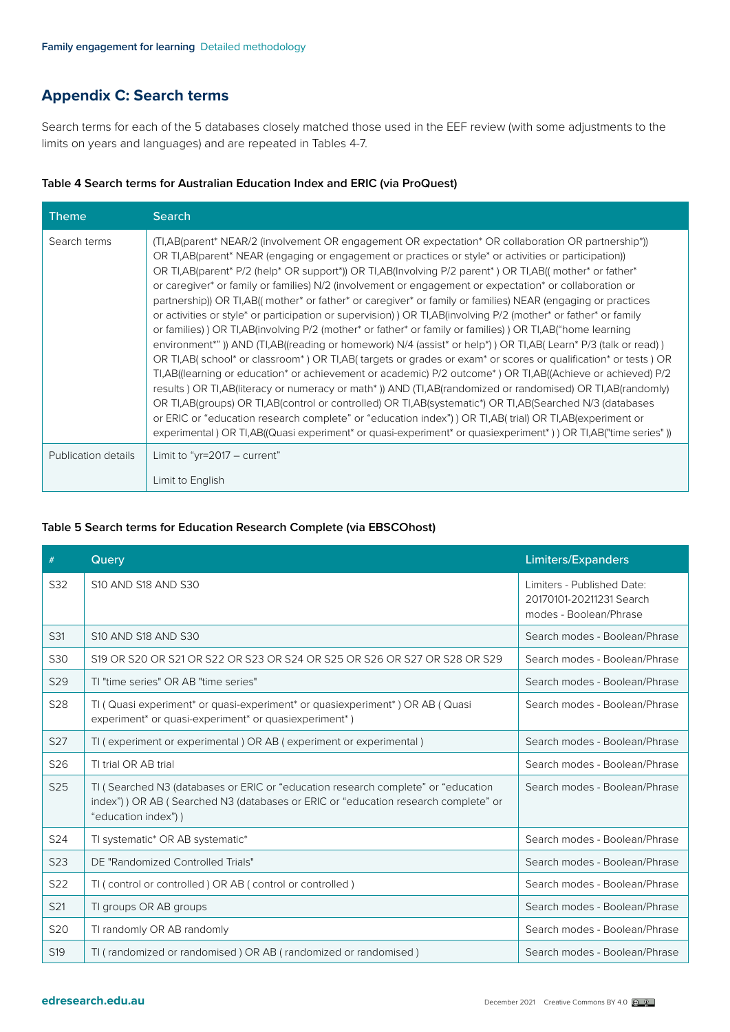# <span id="page-10-0"></span>**Appendix C: Search terms**

Search terms for each of the 5 databases closely matched those used in the EEF review (with some adjustments to the limits on years and languages) and are repeated in Tables 4-7.

|  |  | Table 4 Search terms for Australian Education Index and ERIC (via ProQuest) |  |  |  |
|--|--|-----------------------------------------------------------------------------|--|--|--|
|--|--|-----------------------------------------------------------------------------|--|--|--|

| <b>Theme</b>        | <b>Search</b>                                                                                                                                                                                                                                                                                                                                                                                                                                                                                                                                                                                                                                                                                                                                                                                                                                                                                                                                                                                                                                                                                                                                                                                                                                                                                                                                                                                                                                                                                                                                                                                                                                                              |
|---------------------|----------------------------------------------------------------------------------------------------------------------------------------------------------------------------------------------------------------------------------------------------------------------------------------------------------------------------------------------------------------------------------------------------------------------------------------------------------------------------------------------------------------------------------------------------------------------------------------------------------------------------------------------------------------------------------------------------------------------------------------------------------------------------------------------------------------------------------------------------------------------------------------------------------------------------------------------------------------------------------------------------------------------------------------------------------------------------------------------------------------------------------------------------------------------------------------------------------------------------------------------------------------------------------------------------------------------------------------------------------------------------------------------------------------------------------------------------------------------------------------------------------------------------------------------------------------------------------------------------------------------------------------------------------------------------|
| Search terms        | (TI,AB(parent* NEAR/2 (involvement OR engagement OR expectation* OR collaboration OR partnership*))<br>OR TI, AB (parent* NEAR (engaging or engagement or practices or style* or activities or participation))<br>OR TI, AB(parent* P/2 (help* OR support*)) OR TI, AB(Involving P/2 parent*) OR TI, AB((mother* or father*<br>or caregiver* or family or families) N/2 (involvement or engagement or expectation* or collaboration or<br>partnership)) OR TI, AB((mother* or father* or caregiver* or family or families) NEAR (engaging or practices<br>or activities or style <sup>*</sup> or participation or supervision) OR TI, AB(involving P/2 (mother <sup>*</sup> or father <sup>*</sup> or family<br>or families) OR TI, AB(involving P/2 (mother* or father* or family or families) OR TI, AB("home learning<br>environment*")) AND (TI,AB((reading or homework) N/4 (assist* or help*)) OR TI,AB(Learn* P/3 (talk or read))<br>OR TI, AB (school* or classroom*) OR TI, AB (targets or grades or exam* or scores or qualification* or tests) OR<br>TI,AB((learning or education* or achievement or academic) P/2 outcome*) OR TI,AB((Achieve or achieved) P/2<br>results) OR TI, AB(literacy or numeracy or math*)) AND (TI, AB(randomized or randomised) OR TI, AB(randomly)<br>OR TI, AB(groups) OR TI, AB(control or controlled) OR TI, AB(systematic*) OR TI, AB(Searched N/3 (databases<br>or ERIC or "education research complete" or "education index") OR TI, AB(trial) OR TI, AB(experiment or<br>experimental) OR TI,AB((Quasi experiment <sup>*</sup> or quasi-experiment <sup>*</sup> or quasiexperiment <sup>*</sup> )) OR TI,AB("time series")) |
| Publication details | Limit to "yr=2017 $-$ current"<br>Limit to English                                                                                                                                                                                                                                                                                                                                                                                                                                                                                                                                                                                                                                                                                                                                                                                                                                                                                                                                                                                                                                                                                                                                                                                                                                                                                                                                                                                                                                                                                                                                                                                                                         |

#### **Table 5 Search terms for Education Research Complete (via EBSCOhost)**

| #               | Query                                                                                                                                                                                           | Limiters/Expanders                                                               |
|-----------------|-------------------------------------------------------------------------------------------------------------------------------------------------------------------------------------------------|----------------------------------------------------------------------------------|
| S32             | S10 AND S18 AND S30                                                                                                                                                                             | Limiters - Published Date:<br>20170101-20211231 Search<br>modes - Boolean/Phrase |
| S31             | S10 AND S18 AND S30                                                                                                                                                                             | Search modes - Boolean/Phrase                                                    |
| S30             | S19 OR S20 OR S21 OR S22 OR S23 OR S24 OR S25 OR S26 OR S27 OR S28 OR S29                                                                                                                       | Search modes - Boolean/Phrase                                                    |
| S29             | TI "time series" OR AB "time series"                                                                                                                                                            | Search modes - Boolean/Phrase                                                    |
| S <sub>28</sub> | TI (Quasi experiment* or quasi-experiment* or quasiexperiment*) OR AB (Quasi<br>experiment* or quasi-experiment* or quasiexperiment*)                                                           | Search modes - Boolean/Phrase                                                    |
| S <sub>27</sub> | TI (experiment or experimental) OR AB (experiment or experimental)                                                                                                                              | Search modes - Boolean/Phrase                                                    |
| S26             | TI trial OR AB trial                                                                                                                                                                            | Search modes - Boolean/Phrase                                                    |
| S25             | TI (Searched N3 (databases or ERIC or "education research complete" or "education<br>index") ) OR AB (Searched N3 (databases or ERIC or "education research complete" or<br>"education index")) | Search modes - Boolean/Phrase                                                    |
| S24             | TI systematic* OR AB systematic*                                                                                                                                                                | Search modes - Boolean/Phrase                                                    |
| S23             | DE "Randomized Controlled Trials"                                                                                                                                                               | Search modes - Boolean/Phrase                                                    |
| S22             | TI (control or controlled) OR AB (control or controlled)                                                                                                                                        | Search modes - Boolean/Phrase                                                    |
| S21             | TI groups OR AB groups                                                                                                                                                                          | Search modes - Boolean/Phrase                                                    |
| S20             | TI randomly OR AB randomly                                                                                                                                                                      | Search modes - Boolean/Phrase                                                    |
| S <sub>19</sub> | TI (randomized or randomised) OR AB (randomized or randomised)                                                                                                                                  | Search modes - Boolean/Phrase                                                    |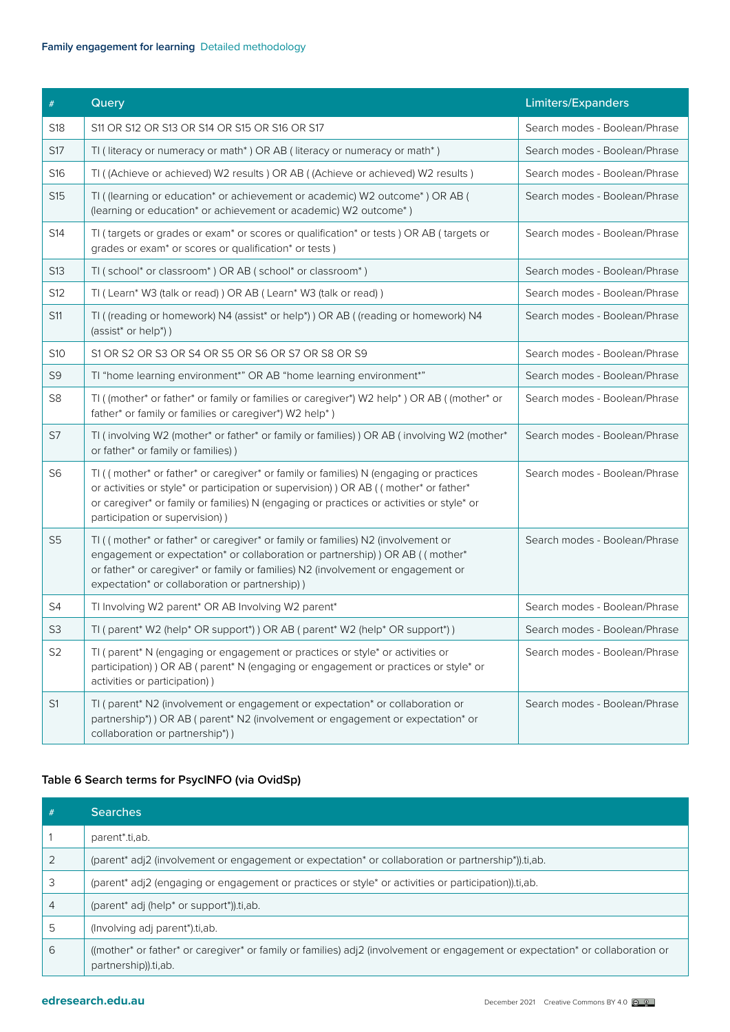#### **Family engagement for learning** Detailed methodology

| $\#$            | Query                                                                                                                                                                                                                                                                                                        | Limiters/Expanders            |
|-----------------|--------------------------------------------------------------------------------------------------------------------------------------------------------------------------------------------------------------------------------------------------------------------------------------------------------------|-------------------------------|
| S18             | S11 OR S12 OR S13 OR S14 OR S15 OR S16 OR S17                                                                                                                                                                                                                                                                | Search modes - Boolean/Phrase |
| S17             | TI (literacy or numeracy or math*) OR AB (literacy or numeracy or math*)                                                                                                                                                                                                                                     | Search modes - Boolean/Phrase |
| S16             | TI ((Achieve or achieved) W2 results) OR AB ((Achieve or achieved) W2 results)                                                                                                                                                                                                                               | Search modes - Boolean/Phrase |
| S <sub>15</sub> | TI ((learning or education* or achievement or academic) W2 outcome*) OR AB (<br>(learning or education* or achievement or academic) W2 outcome*)                                                                                                                                                             | Search modes - Boolean/Phrase |
| S14             | TI (targets or grades or exam* or scores or qualification* or tests) OR AB (targets or<br>grades or exam <sup>*</sup> or scores or qualification <sup>*</sup> or tests)                                                                                                                                      | Search modes - Boolean/Phrase |
| S13             | TI (school* or classroom*) OR AB (school* or classroom*)                                                                                                                                                                                                                                                     | Search modes - Boolean/Phrase |
| S12             | TI (Learn* W3 (talk or read)) OR AB (Learn* W3 (talk or read))                                                                                                                                                                                                                                               | Search modes - Boolean/Phrase |
| <b>S11</b>      | TI ((reading or homework) N4 (assist* or help*)) OR AB ((reading or homework) N4<br>(assist* or help*))                                                                                                                                                                                                      | Search modes - Boolean/Phrase |
| S10             | S1 OR S2 OR S3 OR S4 OR S5 OR S6 OR S7 OR S8 OR S9                                                                                                                                                                                                                                                           | Search modes - Boolean/Phrase |
| S9              | TI "home learning environment*" OR AB "home learning environment*"                                                                                                                                                                                                                                           | Search modes - Boolean/Phrase |
| S <sub>8</sub>  | TI ((mother* or father* or family or families or caregiver*) W2 help*) OR AB ((mother* or<br>father* or family or families or caregiver*) W2 help*)                                                                                                                                                          | Search modes - Boolean/Phrase |
| S7              | TI (involving W2 (mother* or father* or family or families)) OR AB (involving W2 (mother*<br>or father* or family or families))                                                                                                                                                                              | Search modes - Boolean/Phrase |
| S <sub>6</sub>  | TI ((mother* or father* or caregiver* or family or families) N (engaging or practices<br>or activities or style* or participation or supervision) ) OR AB ((mother* or father*<br>or caregiver* or family or families) N (engaging or practices or activities or style* or<br>participation or supervision)) | Search modes - Boolean/Phrase |
| S <sub>5</sub>  | TI ((mother* or father* or caregiver* or family or families) N2 (involvement or<br>engagement or expectation* or collaboration or partnership) ) OR AB ((mother*<br>or father* or caregiver* or family or families) N2 (involvement or engagement or<br>expectation* or collaboration or partnership))       | Search modes - Boolean/Phrase |
| S4              | TI Involving W2 parent* OR AB Involving W2 parent*                                                                                                                                                                                                                                                           | Search modes - Boolean/Phrase |
| S <sub>3</sub>  | TI (parent* W2 (help* OR support*) ) OR AB (parent* W2 (help* OR support*) )                                                                                                                                                                                                                                 | Search modes - Boolean/Phrase |
| S <sub>2</sub>  | TI (parent* N (engaging or engagement or practices or style* or activities or<br>participation) ) OR AB (parent* N (engaging or engagement or practices or style* or<br>activities or participation))                                                                                                        | Search modes - Boolean/Phrase |
| S1              | TI (parent* N2 (involvement or engagement or expectation* or collaboration or<br>partnership*)) OR AB (parent* N2 (involvement or engagement or expectation* or<br>collaboration or partnership*))                                                                                                           | Search modes - Boolean/Phrase |

#### **Table 6 Search terms for PsycINFO (via OvidSp)**

| #              | <b>Searches</b>                                                                                                                                       |
|----------------|-------------------------------------------------------------------------------------------------------------------------------------------------------|
|                | parent*.ti,ab.                                                                                                                                        |
|                | (parent* adj2 (involvement or engagement or expectation* or collaboration or partnership*)).ti,ab.                                                    |
| 3              | (parent* adj2 (engaging or engagement or practices or style* or activities or participation)).ti,ab.                                                  |
| $\overline{4}$ | (parent* adj (help* or support*)).ti,ab.                                                                                                              |
| 5              | (Involving adj parent*).ti, ab.                                                                                                                       |
| 6              | ((mother* or father* or caregiver* or family or families) adj2 (involvement or engagement or expectation* or collaboration or<br>partnership)).ti,ab. |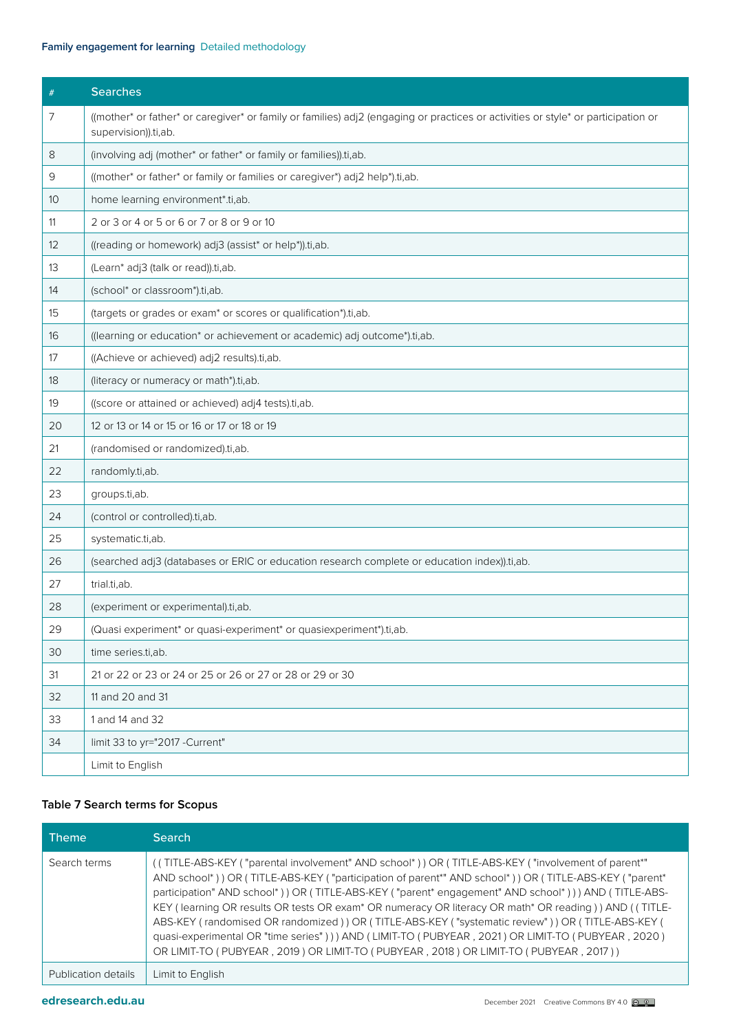#### **Family engagement for learning** Detailed methodology

| #  | <b>Searches</b>                                                                                                                                           |
|----|-----------------------------------------------------------------------------------------------------------------------------------------------------------|
| 7  | ((mother* or father* or caregiver* or family or families) adj2 (engaging or practices or activities or style* or participation or<br>supervision)).ti,ab. |
| 8  | (involving adj (mother* or father* or family or families)).ti,ab.                                                                                         |
| 9  | ((mother* or father* or family or families or caregiver*) adj2 help*).ti,ab.                                                                              |
| 10 | home learning environment*.ti,ab.                                                                                                                         |
| 11 | 2 or 3 or 4 or 5 or 6 or 7 or 8 or 9 or 10                                                                                                                |
| 12 | ((reading or homework) adj3 (assist* or help*)).ti,ab.                                                                                                    |
| 13 | (Learn* adj3 (talk or read)).ti,ab.                                                                                                                       |
| 14 | (school* or classroom*).ti,ab.                                                                                                                            |
| 15 | (targets or grades or exam <sup>*</sup> or scores or qualification*).ti,ab.                                                                               |
| 16 | ((learning or education* or achievement or academic) adj outcome*).ti,ab.                                                                                 |
| 17 | ((Achieve or achieved) adj2 results).ti,ab.                                                                                                               |
| 18 | (literacy or numeracy or math*).ti,ab.                                                                                                                    |
| 19 | ((score or attained or achieved) adj4 tests).ti,ab.                                                                                                       |
| 20 | 12 or 13 or 14 or 15 or 16 or 17 or 18 or 19                                                                                                              |
| 21 | (randomised or randomized).ti,ab.                                                                                                                         |
| 22 | randomly.ti,ab.                                                                                                                                           |
| 23 | groups.ti,ab.                                                                                                                                             |
| 24 | (control or controlled).ti,ab.                                                                                                                            |
| 25 | systematic.ti,ab.                                                                                                                                         |
| 26 | (searched adj3 (databases or ERIC or education research complete or education index)).ti,ab.                                                              |
| 27 | trial.ti,ab.                                                                                                                                              |
| 28 | (experiment or experimental).ti,ab.                                                                                                                       |
| 29 | (Quasi experiment* or quasi-experiment* or quasiexperiment*).ti,ab.                                                                                       |
| 30 | time series.ti,ab.                                                                                                                                        |
| 31 | 21 or 22 or 23 or 24 or 25 or 26 or 27 or 28 or 29 or 30                                                                                                  |
| 32 | 11 and 20 and 31                                                                                                                                          |
| 33 | 1 and 14 and 32                                                                                                                                           |
| 34 | limit 33 to yr="2017 -Current"                                                                                                                            |
|    | Limit to English                                                                                                                                          |

#### **Table 7 Search terms for Scopus**

| <b>Theme</b>        | <b>Search</b>                                                                                                                                                                                                                                                                                                                                                                                                                                                                                                                                                                                                                                                                                                                   |
|---------------------|---------------------------------------------------------------------------------------------------------------------------------------------------------------------------------------------------------------------------------------------------------------------------------------------------------------------------------------------------------------------------------------------------------------------------------------------------------------------------------------------------------------------------------------------------------------------------------------------------------------------------------------------------------------------------------------------------------------------------------|
| Search terms        | ((TITLE-ABS-KEY ("parental involvement" AND school*)) OR (TITLE-ABS-KEY ("involvement of parent*"<br>AND school*)) OR (TITLE-ABS-KEY ("participation of parent*" AND school*)) OR (TITLE-ABS-KEY ("parent*<br>participation" AND school*)) OR (TITLE-ABS-KEY ("parent* engagement" AND school*))) AND (TITLE-ABS-<br>KEY (learning OR results OR tests OR exam* OR numeracy OR literacy OR math* OR reading)) AND ((TITLE-<br>ABS-KEY (randomised OR randomized) ) OR (TITLE-ABS-KEY ("systematic review") ) OR (TITLE-ABS-KEY (<br>quasi-experimental OR "time series" ) ) ) AND (LIMIT-TO (PUBYEAR, 2021) OR LIMIT-TO (PUBYEAR, 2020)<br>OR LIMIT-TO (PUBYEAR, 2019) OR LIMIT-TO (PUBYEAR, 2018) OR LIMIT-TO (PUBYEAR, 2017)) |
| Publication details | Limit to English                                                                                                                                                                                                                                                                                                                                                                                                                                                                                                                                                                                                                                                                                                                |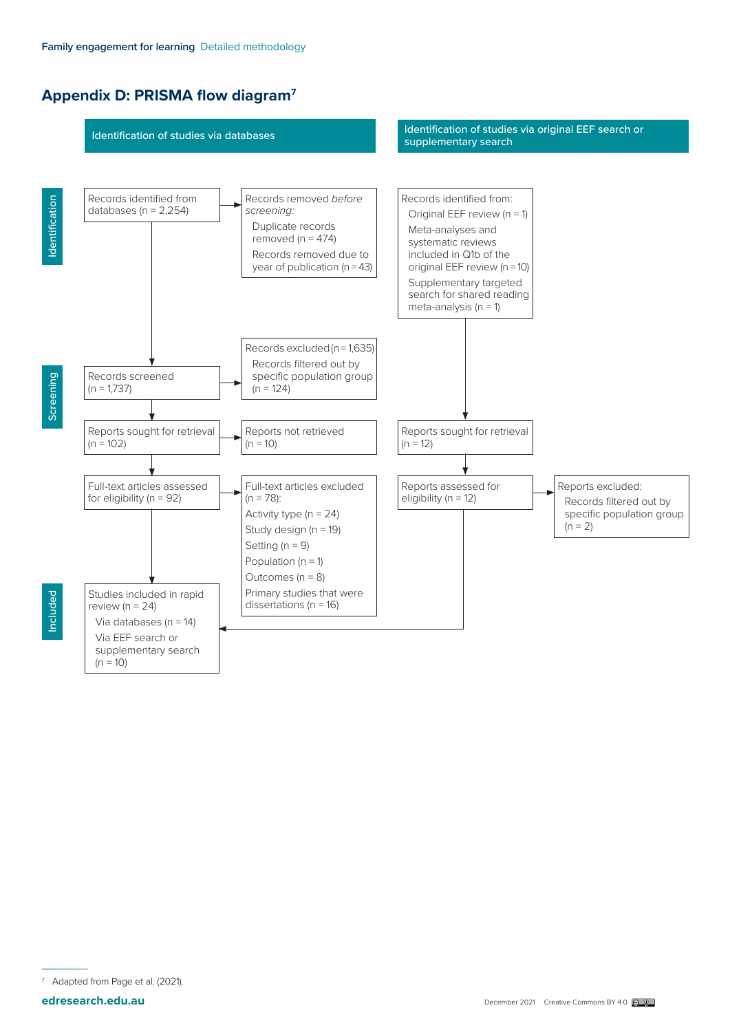# <span id="page-13-0"></span>**Appendix D: PRISMA flow diagram7**



Adapted from Page et al. (2021).